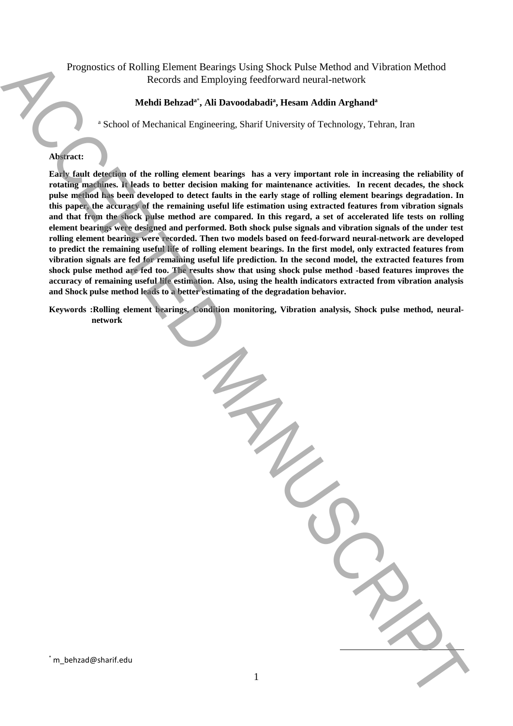# Prognostics of Rolling Element Bearings Using Shock Pulse Method and Vibration Method Records and Employing feedforward neural-network

# **Mehdi Behzad<sup>a</sup>**\* **, Ali Davoodabadi<sup>a</sup> , Hesam Addin Arghand<sup>a</sup>**

<sup>a</sup> School of Mechanical Engineering, Sharif University of Technology, Tehran, Iran

# **Abstract:**

**Early fault detection of the rolling element bearings has a very important role in increasing the reliability of rotating machines. It leads to better decision making for maintenance activities. In recent decades, the shock pulse method has been developed to detect faults in the early stage of rolling element bearings degradation. In this paper, the accuracy of the remaining useful life estimation using extracted features from vibration signals and that from the shock pulse method are compared. In this regard, a set of accelerated life tests on rolling element bearings were designed and performed. Both shock pulse signals and vibration signals of the under test rolling element bearings were recorded. Then two models based on feed-forward neural-network are developed to predict the remaining useful life of rolling element bearings. In the first model, only extracted features from vibration signals are fed for remaining useful life prediction. In the second model, the extracted features from shock pulse method are fed too. The results show that using shock pulse method -based features improves the accuracy of remaining useful life estimation. Also, using the health indicators extracted from vibration analysis and Shock pulse method leads to a better estimating of the degradation behavior.** Proposition of Rolling University Constraints (Sing Sheek Melle Mellendo and Vietnica Mellendo and Vietnica Mellendo and Vietnica Mellendo and Vietnica Mellendo and Vietnica Mellendo and Vietnica Constraints (Sing Sheek M

**Keywords :Rolling element bearings, Condition monitoring, Vibration analysis, Shock pulse method, neuralnetwork**

 $\overline{a}$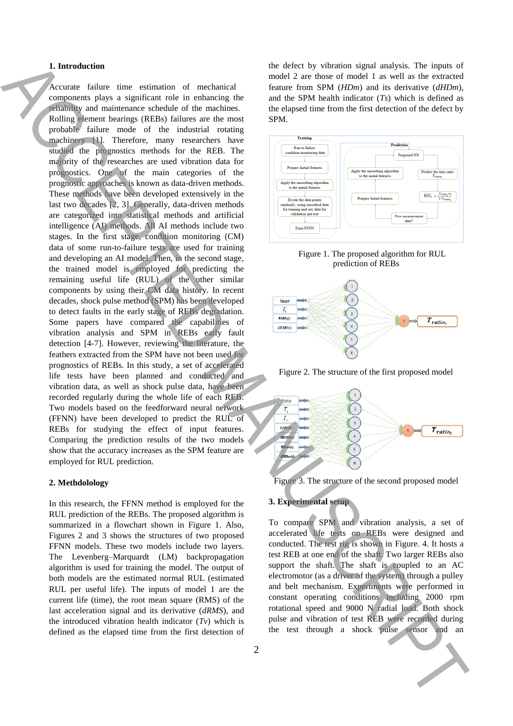# **1. Introduction**

Accurate failure time estimation of mechanical components plays a significant role in enhancing the reliability and maintenance schedule of the machines. Rolling element bearings (REBs) failures are the most probable failure mode of the industrial rotating machinery [1]. Therefore, many researchers have studied the prognostics methods for the REB. The majority of the researches are used vibration data for prognostics. One of the main categories of the prognostic approaches is known as data-driven methods. These methods have been developed extensively in the last two decades [2, 3]. Generally, data-driven methods are categorized into statistical methods and artificial intelligence (AI) methods. All AI methods include two stages. In the first stage, condition monitoring (CM) data of some run-to-failure tests are used for training and developing an AI model. Then, in the second stage, the trained model is employed for predicting the remaining useful life (RUL) of the other similar components by using their CM data history. In recent decades, shock pulse method (SPM) has been developed to detect faults in the early stage of REBs degradation. Some papers have compared the capabilities of vibration analysis and SPM in REBs early fault detection [4-7]. However, reviewing the literature, the feathers extracted from the SPM have not been used for prognostics of REBs. In this study, a set of accelerated life tests have been planned and conducted and vibration data, as well as shock pulse data, have been recorded regularly during the whole life of each REB. Two models based on the feedforward neural network (FFNN) have been developed to predict the RUL of REBs for studying the effect of input features. Comparing the prediction results of the two models show that the accuracy increases as the SPM feature are employed for RUL prediction. **1.** Interded manner of the formula condition of the species of the species of the species of the species of the species of the species of the species of the species of the species of the species of the species of the spe

#### **2. Methdolology**

In this research, the FFNN method is employed for the RUL prediction of the REBs. The proposed algorithm is summarized in a flowchart shown in Figure 1. Also, Figures 2 and 3 shows the structures of two proposed FFNN models. These two models include two layers. The Levenberg–Marquardt (LM) backpropagation algorithm is used for training the model. The output of both models are the estimated normal RUL (estimated RUL per useful life). The inputs of model 1 are the current life (time), the root mean square (RMS) of the last acceleration signal and its derivative (*dRMS*), and the introduced vibration health indicator (*Tv*) which is defined as the elapsed time from the first detection of

the defect by vibration signal analysis. The inputs of model 2 are those of model 1 as well as the extracted feature from SPM (*HDm*) and its derivative (*dHDm*), and the SPM health indicator (*Ts*) which is defined as the elapsed time from the first detection of the defect by SPM.



Figure 1. The proposed algorithm for RUL prediction of REBs



Figure 2. The structure of the first proposed model





# **3. Experimental setup**

To compare SPM and vibration analysis, a set of accelerated life tests on REBs were designed and conducted. The test rig is shown in Figure. 4. It hosts a test REB at one end of the shaft. Two larger REBs also support the shaft. The shaft is coupled to an AC electromotor (as a driver of the system) through a pulley and belt mechanism. Experiments were performed in constant operating conditions including 2000 rpm rotational speed and 9000 N radial load. Both shock pulse and vibration of test REB were recorded during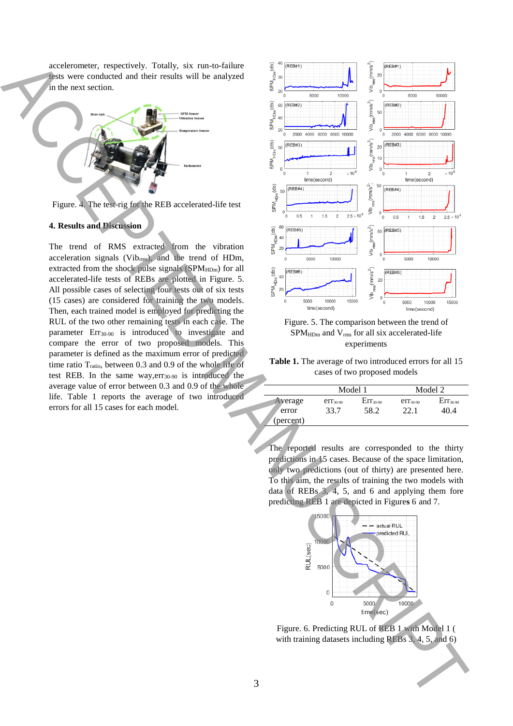accelerometer, respectively. Totally, six run-to-failure tests were conducted and their results will be analyzed in the next section.



Figure. 4. The test-rig for the REB accelerated-life test

### **4. Results and Discussion**

The trend of RMS extracted from the vibration acceleration signals (Vibrms), and the trend of HDm, extracted from the shock pulse signals (SPM<sub>HDm</sub>) for all accelerated-life tests of REBs are plotted in Figure. 5. All possible cases of selecting four tests out of six tests (15 cases) are considered for training the two models. Then, each trained model is employed for predicting the RUL of the two other remaining tests in each case. The parameter Err<sub>30-90</sub> is introduced to investigate and compare the error of two proposed models. This parameter is defined as the maximum error of predicted time ratio T<sub>ratio</sub>, between 0.3 and 0.9 of the whole life of test REB. In the same way,err30-90 is introduced the average value of error between 0.3 and 0.9 of the whole life. Table 1 reports the average of two introduced errors for all 15 cases for each model.



Figure. 5. The comparison between the trend of SPM<sub>HDm</sub> and V<sub>rms</sub> for all six accelerated-life experiments

**Table 1.** The average of two introduced errors for all 15 cases of two proposed models

| Average   | Model 1       |               | Model 2       |               |
|-----------|---------------|---------------|---------------|---------------|
|           | $err_{30-90}$ | $Err_{30-90}$ | $err_{30-90}$ | $Err_{30-90}$ |
| error     | 33.7          | 58.2          | 22.1          | 40.4          |
| (percent) |               |               |               |               |

The reported results are corresponded to the thirty predictions in 15 cases. Because of the space limitation, only two predictions (out of thirty) are presented here. To this aim, the results of training the two models with data of REBs 3, 4, 5, and 6 and applying them fore predicting REB 1 are depicted in Figure**s** 6 and 7.



Figure. 6. Predicting RUL of REB 1 with Model 1 ( with training datasets including REBs 3, 4, 5, and 6)